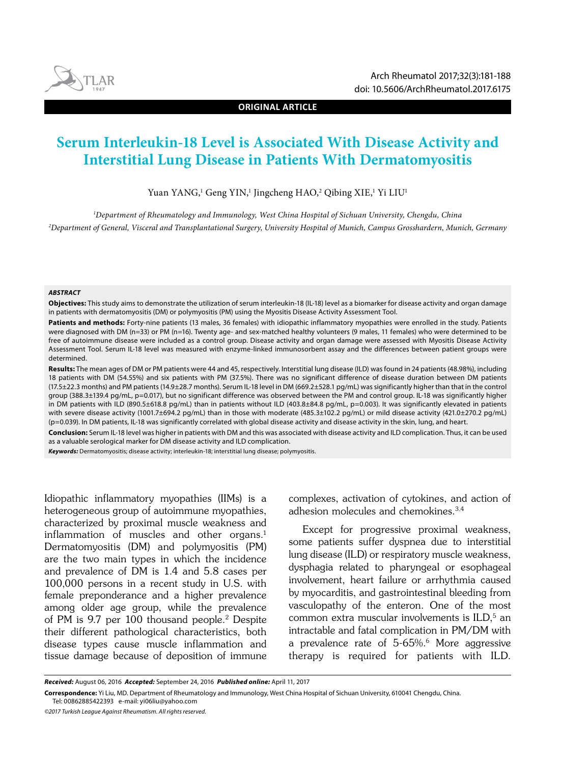# **ORIGINAL ARTICLE**

# **Serum Interleukin-18 Level is Associated With Disease Activity and Interstitial Lung Disease in Patients With Dermatomyositis**

Yuan YANG,' Geng YIN,' Jingcheng HAO,<sup>2</sup> Qibing XIE,' Yi LIU<sup>1</sup>

*1 Department of Rheumatology and Immunology, West China Hospital of Sichuan University, Chengdu, China 2 Department of General, Visceral and Transplantational Surgery, University Hospital of Munich, Campus Grosshardern, Munich, Germany*

#### *ABSTRACT*

**Objectives:** This study aims to demonstrate the utilization of serum interleukin-18 (IL-18) level as a biomarker for disease activity and organ damage in patients with dermatomyositis (DM) or polymyositis (PM) using the Myositis Disease Activity Assessment Tool.

Patients and methods: Forty-nine patients (13 males, 36 females) with idiopathic inflammatory myopathies were enrolled in the study. Patients were diagnosed with DM (n=33) or PM (n=16). Twenty age- and sex-matched healthy volunteers (9 males, 11 females) who were determined to be free of autoimmune disease were included as a control group. Disease activity and organ damage were assessed with Myositis Disease Activity Assessment Tool. Serum IL-18 level was measured with enzyme-linked immunosorbent assay and the differences between patient groups were determined.

**Results:** The mean ages of DM or PM patients were 44 and 45, respectively. Interstitial lung disease (ILD) was found in 24 patients (48.98%), including 18 patients with DM (54.55%) and six patients with PM (37.5%). There was no significant difference of disease duration between DM patients (17.5±22.3 months) and PM patients (14.9±28.7 months). Serum IL-18 level in DM (669.2±528.1 pg/mL) was significantly higher than that in the control group (388.3±139.4 pg/mL, p=0.017), but no significant difference was observed between the PM and control group. IL-18 was significantly higher in DM patients with ILD (890.5±618.8 pg/mL) than in patients without ILD (403.8±84.8 pg/mL, p=0.003). It was significantly elevated in patients with severe disease activity (1001.7±694.2 pg/mL) than in those with moderate (485.3±102.2 pg/mL) or mild disease activity (421.0±270.2 pg/mL) (p=0.039). In DM patients, IL-18 was significantly correlated with global disease activity and disease activity in the skin, lung, and heart.

**Conclusion:** Serum IL-18 level was higher in patients with DM and this was associated with disease activity and ILD complication. Thus, it can be used as a valuable serological marker for DM disease activity and ILD complication.

*Keywords:* Dermatomyositis; disease activity; interleukin-18; interstitial lung disease; polymyositis.

Idiopathic inflammatory myopathies (IIMs) is a heterogeneous group of autoimmune myopathies, characterized by proximal muscle weakness and inflammation of muscles and other organs.<sup>1</sup> Dermatomyositis (DM) and polymyositis (PM) are the two main types in which the incidence and prevalence of DM is 1.4 and 5.8 cases per 100,000 persons in a recent study in U.S. with female preponderance and a higher prevalence among older age group, while the prevalence of PM is 9.7 per 100 thousand people.2 Despite their different pathological characteristics, both disease types cause muscle inflammation and tissue damage because of deposition of immune complexes, activation of cytokines, and action of adhesion molecules and chemokines.3,4

Except for progressive proximal weakness, some patients suffer dyspnea due to interstitial lung disease (ILD) or respiratory muscle weakness, dysphagia related to pharyngeal or esophageal involvement, heart failure or arrhythmia caused by myocarditis, and gastrointestinal bleeding from vasculopathy of the enteron. One of the most common extra muscular involvements is  $ILD<sub>5</sub>$  an intractable and fatal complication in PM/DM with a prevalence rate of  $5{\text -}65\%$ .<sup>6</sup> More aggressive therapy is required for patients with ILD.

*Received:* August 06, 2016 *Accepted:* September 24, 2016 *Published online:* April 11, 2017

**Correspondence:** Yi Liu, MD. Department of Rheumatology and Immunology, West China Hospital of Sichuan University, 610041 Chengdu, China. Tel: 00862885422393 e-mail: yi06liu@yahoo.com

*<sup>©2017</sup> Turkish League Against Rheumatism. All rights reserved.*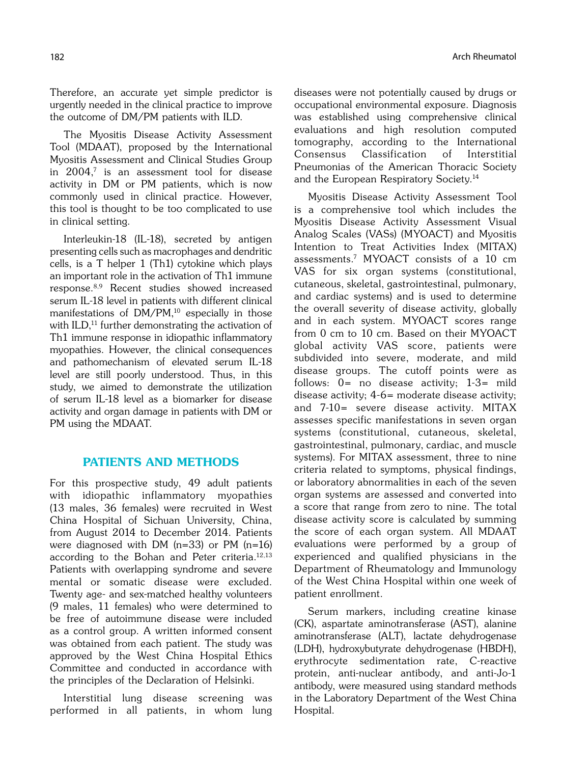Therefore, an accurate yet simple predictor is urgently needed in the clinical practice to improve the outcome of DM/PM patients with ILD.

The Myositis Disease Activity Assessment Tool (MDAAT), proposed by the International Myositis Assessment and Clinical Studies Group in  $2004$ ,<sup>7</sup> is an assessment tool for disease activity in DM or PM patients, which is now commonly used in clinical practice. However, this tool is thought to be too complicated to use in clinical setting.

Interleukin-18 (IL-18), secreted by antigen presenting cells such as macrophages and dendritic cells, is a T helper 1 (Th1) cytokine which plays an important role in the activation of Th1 immune response.8,9 Recent studies showed increased serum IL-18 level in patients with different clinical manifestations of DM/PM,<sup>10</sup> especially in those with ILD.<sup>11</sup> further demonstrating the activation of Th1 immune response in idiopathic inflammatory myopathies. However, the clinical consequences and pathomechanism of elevated serum IL-18 level are still poorly understood. Thus, in this study, we aimed to demonstrate the utilization of serum IL-18 level as a biomarker for disease activity and organ damage in patients with DM or PM using the MDAAT.

## PATIENTS AND METHODS

For this prospective study, 49 adult patients with idiopathic inflammatory myopathies (13 males, 36 females) were recruited in West China Hospital of Sichuan University, China, from August 2014 to December 2014. Patients were diagnosed with DM (n=33) or PM (n=16) according to the Bohan and Peter criteria.<sup>12,13</sup> Patients with overlapping syndrome and severe mental or somatic disease were excluded. Twenty age- and sex-matched healthy volunteers (9 males, 11 females) who were determined to be free of autoimmune disease were included as a control group. A written informed consent was obtained from each patient. The study was approved by the West China Hospital Ethics Committee and conducted in accordance with the principles of the Declaration of Helsinki.

Interstitial lung disease screening was performed in all patients, in whom lung diseases were not potentially caused by drugs or occupational environmental exposure. Diagnosis was established using comprehensive clinical evaluations and high resolution computed tomography, according to the International Consensus Classification of Interstitial Pneumonias of the American Thoracic Society and the European Respiratory Society.14

Myositis Disease Activity Assessment Tool is a comprehensive tool which includes the Myositis Disease Activity Assessment Visual Analog Scales (VASs) (MYOACT) and Myositis Intention to Treat Activities Index (MITAX) assessments.7 MYOACT consists of a 10 cm VAS for six organ systems (constitutional, cutaneous, skeletal, gastrointestinal, pulmonary, and cardiac systems) and is used to determine the overall severity of disease activity, globally and in each system. MYOACT scores range from 0 cm to 10 cm. Based on their MYOACT global activity VAS score, patients were subdivided into severe, moderate, and mild disease groups. The cutoff points were as follows: 0= no disease activity; 1-3= mild disease activity; 4-6= moderate disease activity; and 7-10= severe disease activity. MITAX assesses specific manifestations in seven organ systems (constitutional, cutaneous, skeletal, gastrointestinal, pulmonary, cardiac, and muscle systems). For MITAX assessment, three to nine criteria related to symptoms, physical findings, or laboratory abnormalities in each of the seven organ systems are assessed and converted into a score that range from zero to nine. The total disease activity score is calculated by summing the score of each organ system. All MDAAT evaluations were performed by a group of experienced and qualified physicians in the Department of Rheumatology and Immunology of the West China Hospital within one week of patient enrollment.

Serum markers, including creatine kinase (CK), aspartate aminotransferase (AST), alanine aminotransferase (ALT), lactate dehydrogenase (LDH), hydroxybutyrate dehydrogenase (HBDH), erythrocyte sedimentation rate, C-reactive protein, anti-nuclear antibody, and anti-Jo-1 antibody, were measured using standard methods in the Laboratory Department of the West China Hospital.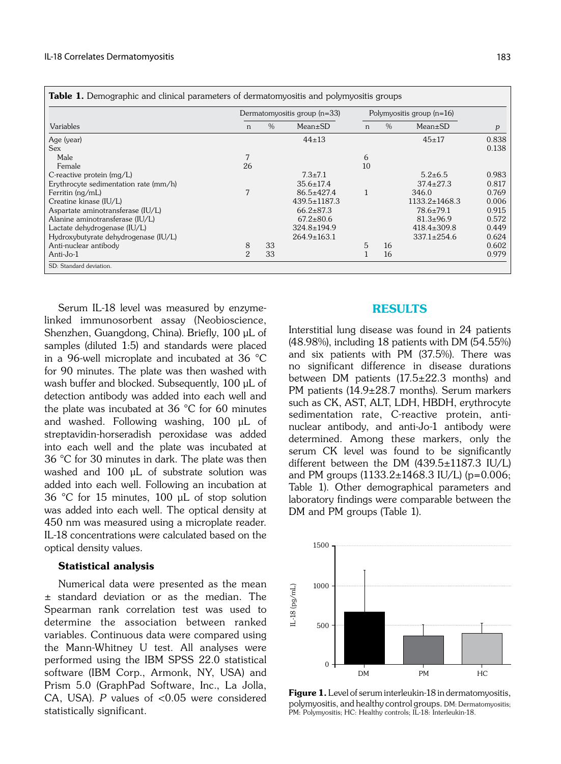|                                       |                |      | Dermatomyositis group $(n=33)$ |    |      | Polymyositis group $(n=16)$ |       |
|---------------------------------------|----------------|------|--------------------------------|----|------|-----------------------------|-------|
| Variables                             | n              | $\%$ | $Mean \pm SD$                  | n  | $\%$ | $Mean \pm SD$               | p     |
| Age (year)                            |                |      | $44 + 13$                      |    |      | $45 + 17$                   | 0.838 |
| <b>Sex</b>                            |                |      |                                |    |      |                             | 0.138 |
| Male                                  | 7              |      |                                | 6  |      |                             |       |
| Female                                | 26             |      |                                | 10 |      |                             |       |
| C-reactive protein $(mg/L)$           |                |      | $7.3 + 7.1$                    |    |      | $5.2+6.5$                   | 0.983 |
| Erythrocyte sedimentation rate (mm/h) |                |      | $35.6 \pm 17.4$                |    |      | $37.4 + 27.3$               | 0.817 |
| Ferritin (ng/mL)                      | 7              |      | $86.5 \pm 427.4$               |    |      | 346.0                       | 0.769 |
| Creatine kinase (IU/L)                |                |      | $439.5 \pm 1187.3$             |    |      | $1133.2 \pm 1468.3$         | 0.006 |
| Aspartate aminotransferase (IU/L)     |                |      | $66.2 \pm 87.3$                |    |      | $78.6 \pm 79.1$             | 0.915 |
| Alanine aminotransferase (IU/L)       |                |      | $67.2 + 80.6$                  |    |      | $81.3 \pm 96.9$             | 0.572 |
| Lactate dehydrogenase (IU/L)          |                |      | $324.8 \pm 194.9$              |    |      | $418.4 \pm 309.8$           | 0.449 |
| Hydroxybutyrate dehydrogenase (IU/L)  |                |      | $264.9 \pm 163.1$              |    |      | $337.1 \pm 254.6$           | 0.624 |
| Anti-nuclear antibody                 | 8              | 33   |                                | 5. | 16   |                             | 0.602 |
| Anti-Jo-1                             | $\overline{2}$ | 33   |                                |    | 16   |                             | 0.979 |

Serum IL-18 level was measured by enzymelinked immunosorbent assay (Neobioscience, Shenzhen, Guangdong, China). Briefly, 100 µL of samples (diluted 1:5) and standards were placed in a 96-well microplate and incubated at 36 °C for 90 minutes. The plate was then washed with wash buffer and blocked. Subsequently, 100 µL of detection antibody was added into each well and the plate was incubated at 36 °C for 60 minutes and washed. Following washing, 100 µL of streptavidin-horseradish peroxidase was added into each well and the plate was incubated at 36 °C for 30 minutes in dark. The plate was then washed and 100 µL of substrate solution was added into each well. Following an incubation at 36 °C for 15 minutes, 100 µL of stop solution was added into each well. The optical density at 450 nm was measured using a microplate reader. IL-18 concentrations were calculated based on the optical density values.

#### Statistical analysis

Numerical data were presented as the mean ± standard deviation or as the median. The Spearman rank correlation test was used to determine the association between ranked variables. Continuous data were compared using the Mann-Whitney U test. All analyses were performed using the IBM SPSS 22.0 statistical software (IBM Corp., Armonk, NY, USA) and Prism 5.0 (GraphPad Software, Inc., La Jolla, CA, USA). P values of <0.05 were considered statistically significant.

## RESULTS

Interstitial lung disease was found in 24 patients (48.98%), including 18 patients with DM (54.55%) and six patients with PM (37.5%). There was no significant difference in disease durations between DM patients  $(17.5 \pm 22.3 \text{ months})$  and PM patients (14.9±28.7 months). Serum markers such as CK, AST, ALT, LDH, HBDH, erythrocyte sedimentation rate, C-reactive protein, antinuclear antibody, and anti-Jo-1 antibody were determined. Among these markers, only the serum CK level was found to be significantly different between the DM (439.5±1187.3 IU/L) and PM groups  $(1133.2 \pm 1468.3 \text{ IU/L})$  (p=0.006; Table 1). Other demographical parameters and laboratory findings were comparable between the DM and PM groups (Table 1).



Figure 1. Level of serum interleukin-18 in dermatomyositis, polymyositis, and healthy control groups. DM: Dermatomyositis; PM: Polymyositis; HC: Healthy controls; IL-18: Interleukin-18.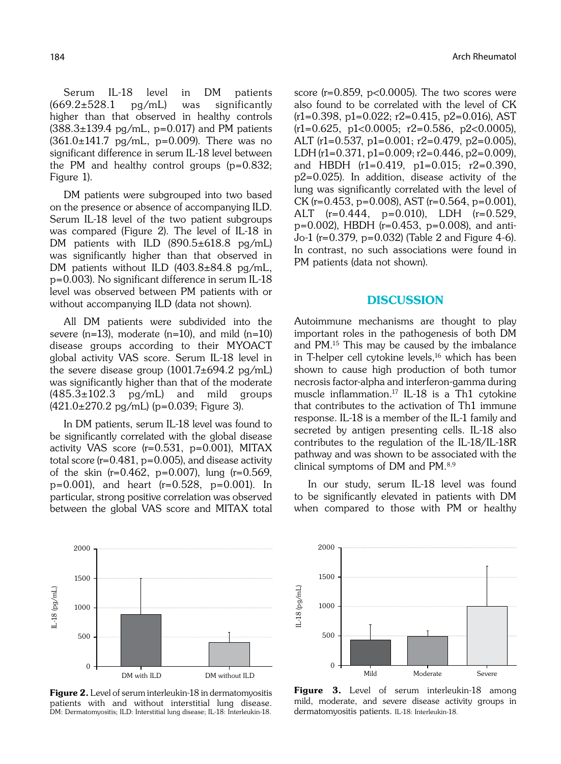Serum IL-18 level in DM patients (669.2±528.1 pg/mL) was significantly higher than that observed in healthy controls  $(388.3 \pm 139.4 \text{ pg/mL}, \text{p=0.017})$  and PM patients  $(361.0 \pm 141.7 \text{ pg/mL}, \text{p=0.009}).$  There was no significant difference in serum IL-18 level between the PM and healthy control groups (p=0.832; Figure 1).

DM patients were subgrouped into two based on the presence or absence of accompanying ILD. Serum IL-18 level of the two patient subgroups was compared (Figure 2). The level of IL-18 in DM patients with ILD (890.5±618.8 pg/mL) was significantly higher than that observed in DM patients without ILD (403.8±84.8 pg/mL, p=0.003). No significant difference in serum IL-18 level was observed between PM patients with or without accompanying ILD (data not shown).

All DM patients were subdivided into the severe ( $n=13$ ), moderate ( $n=10$ ), and mild ( $n=10$ ) disease groups according to their MYOACT global activity VAS score. Serum IL-18 level in the severe disease group  $(1001.7\pm 694.2 \text{ pg/mL})$ was significantly higher than that of the moderate  $(485.3\pm102.3 \text{ pc/mL})$  and mild groups  $(421.0\pm270.2 \text{ pg/mL})$  (p=0.039; Figure 3).

In DM patients, serum IL-18 level was found to be significantly correlated with the global disease activity VAS score  $(r=0.531, p=0.001)$ , MITAX total score ( $r=0.481$ ,  $p=0.005$ ), and disease activity of the skin  $(r=0.462, p=0.007)$ , lung  $(r=0.569,$ p=0.001), and heart (r=0.528, p=0.001). In particular, strong positive correlation was observed between the global VAS score and MITAX total

2000 1500  $IL-18$  (pg/mL) IL-18 (pg/mL) 1000 500 0 DM with ILD DM without ILD

Figure 2. Level of serum interleukin-18 in dermatomyositis patients with and without interstitial lung disease. DM: Dermatomyositis; ILD: Interstitial lung disease; IL-18: Interleukin-18.

score ( $r=0.859$ ,  $p<0.0005$ ). The two scores were also found to be correlated with the level of CK  $(r1=0.398, p1=0.022; r2=0.415, p2=0.016)$ , AST  $(r1=0.625, p1<0.0005; r2=0.586, p2<0.0005)$ ALT (r1=0.537, p1=0.001; r2=0.479, p2=0.005), LDH (r1=0.371, p1=0.009; r2=0.446, p2=0.009), and HBDH (r1=0.419, p1=0.015; r2=0.390, p2=0.025). In addition, disease activity of the lung was significantly correlated with the level of CK ( $r=0.453$ ,  $p=0.008$ ), AST ( $r=0.564$ ,  $p=0.001$ ), ALT (r=0.444, p=0.010), LDH (r=0.529,  $p=0.002$ ), HBDH (r=0.453,  $p=0.008$ ), and anti-Jo-1 (r=0.379, p=0.032) (Table 2 and Figure 4-6). In contrast, no such associations were found in PM patients (data not shown).

### **DISCUSSION**

Autoimmune mechanisms are thought to play important roles in the pathogenesis of both DM and PM.15 This may be caused by the imbalance in T-helper cell cytokine levels, $16$  which has been shown to cause high production of both tumor necrosis factor-alpha and interferon-gamma during muscle inflammation.17 IL-18 is a Th1 cytokine that contributes to the activation of Th1 immune response. IL-18 is a member of the IL-1 family and secreted by antigen presenting cells. IL-18 also contributes to the regulation of the IL-18/IL-18R pathway and was shown to be associated with the clinical symptoms of DM and PM.8,9

In our study, serum IL-18 level was found to be significantly elevated in patients with DM when compared to those with PM or healthy

2000

1500



**Figure 3.** Level of serum interleukin-18 among mild, moderate, and severe disease activity groups in dermatomyositis patients. IL-18: Interleukin-18.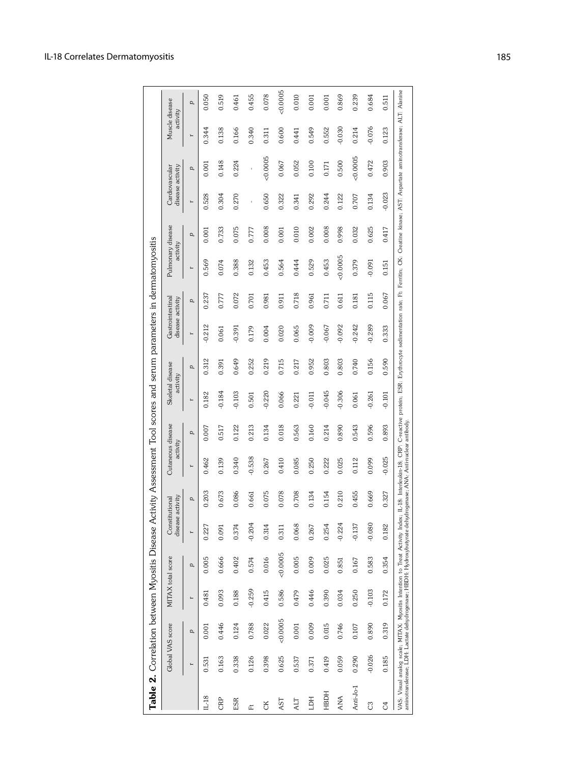# IL-18 Correlates Dermatomyositis 185

|           |                  |        |                          | Table 2. Correlation between Myositis Disease |                                                                                                               |              |                               |       |                              | Activity Assessment Tool scores and serum parameters in dermatomyositis                                                                                                                                                        |                                      |       |                               |       |                                    |        |                            |        |
|-----------|------------------|--------|--------------------------|-----------------------------------------------|---------------------------------------------------------------------------------------------------------------|--------------|-------------------------------|-------|------------------------------|--------------------------------------------------------------------------------------------------------------------------------------------------------------------------------------------------------------------------------|--------------------------------------|-------|-------------------------------|-------|------------------------------------|--------|----------------------------|--------|
|           | Global VAS score |        | <b>MITAX</b> total score |                                               | Constitutional<br>dise                                                                                        | ase activity | Cutaneous disease<br>activity |       | Skeletal disease<br>activity |                                                                                                                                                                                                                                | Gastrointestinal<br>disease activity |       | Pulmonary disease<br>activity |       | Cardiovascular<br>disease activity |        | Muscle disease<br>activity |        |
|           |                  | p      | ٢                        | p                                             |                                                                                                               | p            | r                             | p     | H                            | p                                                                                                                                                                                                                              | r                                    | p     | r                             | p     | H                                  | p      | H                          | p      |
| IL-18     | 0.531            | 0.001  | 0.481                    | 0.005                                         | 0.227                                                                                                         | 0.203        | 0.462                         | 0.007 | 0.182                        | 0.312                                                                                                                                                                                                                          | $-0.212$                             | 0.237 | 0.569                         | 0.001 | 528                                | 0.001  | 0.344                      | 0.050  |
| CRP       | 0.163            | 0.446  | 0.093                    | 0.666                                         | 0.09                                                                                                          | 0.673        | 0.139                         | 0.517 | $-0.184$                     | 0.391                                                                                                                                                                                                                          | 0.061                                | 0.777 | 0.074                         | 0.733 | 0.304                              | 0.148  | 0.138                      | 0.519  |
| ESR       | 0.338            | 0.124  | 0.188                    | 0.402                                         | 0.374                                                                                                         | 0.086        | 0.340                         | 0.122 | $-0.103$                     | 0.649                                                                                                                                                                                                                          | $-0.391$                             | 0.072 | 0.388                         | 0.075 | 0.270                              | 0.224  | 0.166                      | 0.461  |
| 置         | 0.126            | 0.788  | $-0.259$                 | 0.574                                         | $-0.204$                                                                                                      | 0.661        | $-0.538$                      | 0.213 | 0.501                        | 0.252                                                                                                                                                                                                                          | 0.179                                | 0.701 | 0.132                         | 0.777 |                                    |        | 0.340                      | 0.455  |
| EK        | 0.398            | 0.022  | 0.415                    | 0.016                                         | 0.314                                                                                                         | 0.075        | 0.267                         | 0.134 | $-0.220$                     | 0.219                                                                                                                                                                                                                          | 0.004                                | 0.981 | 0.453                         | 0.008 | 0.650                              | 0.0005 | 0.311                      | 0.078  |
| AST       | 0.625            | 0.0005 | 0.586                    | 0.0005                                        | 0.31                                                                                                          | 0.078        | 0.410                         | 0.018 | 0.066                        | 0.715                                                                                                                                                                                                                          | 0.020                                | 0.911 | 0.564                         | 0.001 | 0.322                              | 0.067  | 0.600                      | 0.0005 |
| TTR       | 0.537            | 0.001  | 0.479                    | 0.005                                         | 0.068                                                                                                         | 0.708        | 0.085                         | 0.563 | 0.221                        | 0.217                                                                                                                                                                                                                          | 0.065                                | 0.718 | 0.444                         | 0.010 | 0.341                              | 0.052  | 0.441                      | 0.010  |
| HCL       | 0.371            | 0.009  | 0.446                    | 0.009                                         | $\overline{ }$<br>0.267                                                                                       | 0.134        | 0.250                         | 0.160 | $-0.011$                     | 0.952                                                                                                                                                                                                                          | $-0.009$                             | 0.961 | 0.529                         | 0.002 | 0.292                              | 0.100  | 0.549                      | 0.001  |
| HBDH      | 0.419            | 0.015  | 0.390                    | 0.025                                         | $\mathbf +$<br>$0.25^{\circ}$                                                                                 | 0.154        | 0.222                         | 0.214 | $-0.045$                     | 0.803                                                                                                                                                                                                                          | $-0.067$                             | 0.711 | 0.453                         | 0.008 | 0.244                              | 0.171  | 0.552                      | 0.001  |
| ANA       | 0.059            | 0.746  | 0.034                    | 0.851                                         | $-0.224$                                                                                                      | 0.210        | 0.025                         | 0.890 | $-0.306$                     | 0.803                                                                                                                                                                                                                          | $-0.092$                             | 0.611 | 0.0005                        | 0.998 | 0.122                              | 0.500  | $-0.030$                   | 0.869  |
| Anti-Jo-1 | 0.290            | 0.107  | 0.250                    | 0.167                                         | $-0.137$                                                                                                      | 0.455        | 0.112                         | 0.543 | 0.061                        | 0.740                                                                                                                                                                                                                          | $-0.242$                             | 0.181 | 0.379                         | 0.032 | 0.707                              | 0.0005 | 0.214                      | 0.239  |
| ී         | $-0.026$         | 0.890  | $-0.103$                 | 0.583                                         | $-0.080$                                                                                                      | 0.669        | 0.099                         | 0.596 | $-0.261$                     | 0.156                                                                                                                                                                                                                          | $-0.289$                             | 0.115 | $-0.091$                      | 0.625 | 0.134                              | 0.472  | $-0.076$                   | 0.684  |
| g         | 0.185            | 0.319  | 0.172                    | 0.354                                         | 0.182                                                                                                         | 0.327        | $-0.025$                      | 0.893 | $-0.101$                     | 0.590                                                                                                                                                                                                                          | 0.333                                | 0.067 | 0.151                         | 0.417 | $-0.023$                           | 0.903  | 0.123                      | 0.511  |
|           |                  |        |                          |                                               | aminotransferase; LDH: Lactate dehydrogenase; HBDH: Hydroxybutyrate dehydrogenase; ANA: Anti-nuclear antibody |              |                               |       |                              | VAS: Visual analog scale; MITAX: Myositis Intention to Treat Activity Index; IL-18: Interleviain-18; CReckive protein; ESR: Erythrocyte sedimentation rate; Ft: Ferritin; CK: Creatine kinase; AST: Aspartate aninotransferase |                                      |       |                               |       |                                    |        |                            |        |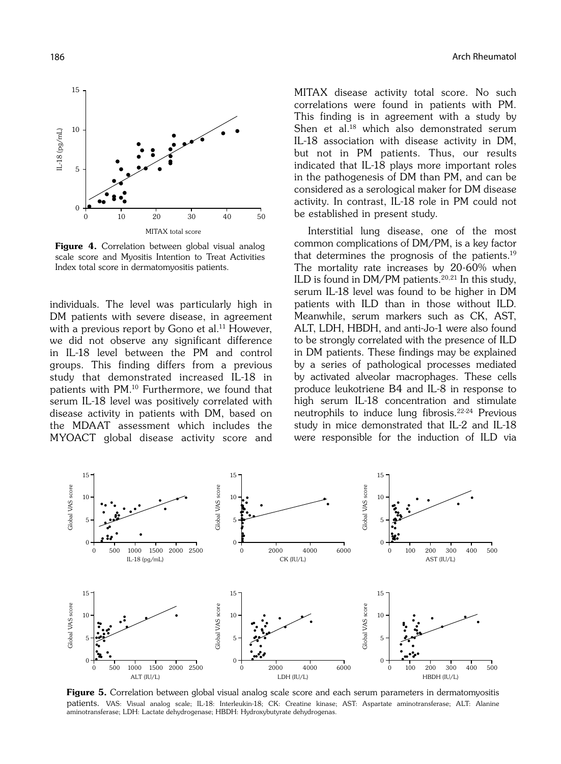

Figure 4. Correlation between global visual analog scale score and Myositis Intention to Treat Activities Index total score in dermatomyositis patients.

individuals. The level was particularly high in DM patients with severe disease, in agreement with a previous report by Gono et al.<sup>11</sup> However, we did not observe any significant difference in IL-18 level between the PM and control groups. This finding differs from a previous study that demonstrated increased IL-18 in patients with PM.10 Furthermore, we found that serum IL-18 level was positively correlated with disease activity in patients with DM, based on the MDAAT assessment which includes the MYOACT global disease activity score and MITAX disease activity total score. No such correlations were found in patients with PM. This finding is in agreement with a study by Shen et al.<sup>18</sup> which also demonstrated serum IL-18 association with disease activity in DM, but not in PM patients. Thus, our results indicated that IL-18 plays more important roles in the pathogenesis of DM than PM, and can be considered as a serological maker for DM disease activity. In contrast, IL-18 role in PM could not be established in present study.

Interstitial lung disease, one of the most common complications of DM/PM, is a key factor that determines the prognosis of the patients.19 The mortality rate increases by 20-60% when ILD is found in DM/PM patients.<sup>20,21</sup> In this study, serum IL-18 level was found to be higher in DM patients with ILD than in those without ILD. Meanwhile, serum markers such as CK, AST, ALT, LDH, HBDH, and anti-Jo-1 were also found to be strongly correlated with the presence of ILD in DM patients. These findings may be explained by a series of pathological processes mediated by activated alveolar macrophages. These cells produce leukotriene B4 and IL-8 in response to high serum IL-18 concentration and stimulate neutrophils to induce lung fibrosis.22-24 Previous study in mice demonstrated that IL-2 and IL-18 were responsible for the induction of ILD via



Figure 5. Correlation between global visual analog scale score and each serum parameters in dermatomyositis patients. VAS: Visual analog scale; IL-18: Interleukin-18; CK: Creatine kinase; AST: Aspartate aminotransferase; ALT: Alanine aminotransferase; LDH: Lactate dehydrogenase; HBDH: Hydroxybutyrate dehydrogenas.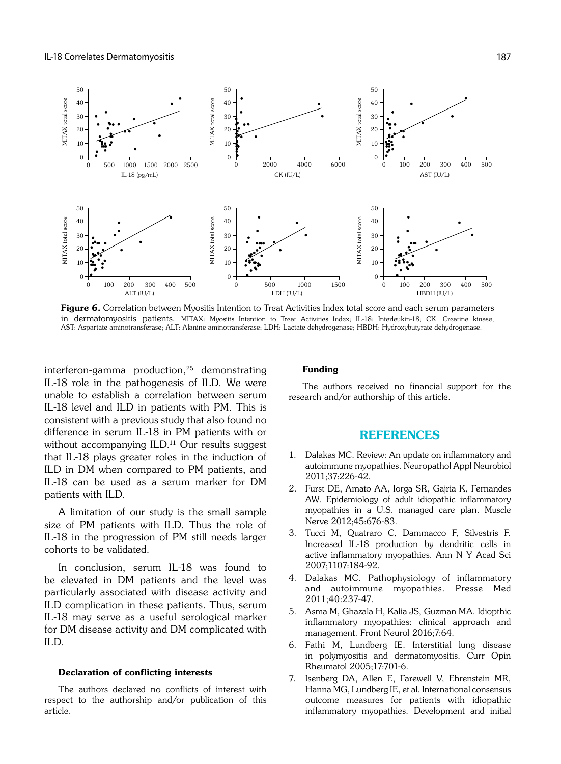

Figure 6. Correlation between Myositis Intention to Treat Activities Index total score and each serum parameters in dermatomyositis patients. MITAX: Myositis Intention to Treat Activities Index; IL-18: Interleukin-18; CK: Creatine kinase; AST: Aspartate aminotransferase; ALT: Alanine aminotransferase; LDH: Lactate dehydrogenase; HBDH: Hydroxybutyrate dehydrogenase.

interferon-gamma production, $25$  demonstrating IL-18 role in the pathogenesis of ILD. We were unable to establish a correlation between serum IL-18 level and ILD in patients with PM. This is consistent with a previous study that also found no difference in serum IL-18 in PM patients with or without accompanying ILD.<sup>11</sup> Our results suggest that IL-18 plays greater roles in the induction of ILD in DM when compared to PM patients, and IL-18 can be used as a serum marker for DM patients with ILD.

A limitation of our study is the small sample size of PM patients with ILD. Thus the role of IL-18 in the progression of PM still needs larger cohorts to be validated.

In conclusion, serum IL-18 was found to be elevated in DM patients and the level was particularly associated with disease activity and ILD complication in these patients. Thus, serum IL-18 may serve as a useful serological marker for DM disease activity and DM complicated with ILD.

#### Declaration of conflicting interests

The authors declared no conflicts of interest with respect to the authorship and/or publication of this article.

#### Funding

The authors received no financial support for the research and/or authorship of this article.

## REFERENCES

- 1. Dalakas MC. Review: An update on inflammatory and autoimmune myopathies. Neuropathol Appl Neurobiol 2011;37:226-42.
- 2. Furst DE, Amato AA, Iorga SR, Gajria K, Fernandes AW. Epidemiology of adult idiopathic inflammatory myopathies in a U.S. managed care plan. Muscle Nerve 2012;45:676-83.
- 3. Tucci M, Quatraro C, Dammacco F, Silvestris F. Increased IL-18 production by dendritic cells in active inflammatory myopathies. Ann N Y Acad Sci 2007;1107:184-92.
- 4. Dalakas MC. Pathophysiology of inflammatory and autoimmune myopathies. Presse Med 2011;40:237-47.
- 5. Asma M, Ghazala H, Kalia JS, Guzman MA. Idiopthic inflammatory myopathies: clinical approach and management. Front Neurol 2016;7:64.
- 6. Fathi M, Lundberg IE. Interstitial lung disease in polymyositis and dermatomyositis. Curr Opin Rheumatol 2005;17:701-6.
- 7. Isenberg DA, Allen E, Farewell V, Ehrenstein MR, Hanna MG, Lundberg IE, et al. International consensus outcome measures for patients with idiopathic inflammatory myopathies. Development and initial